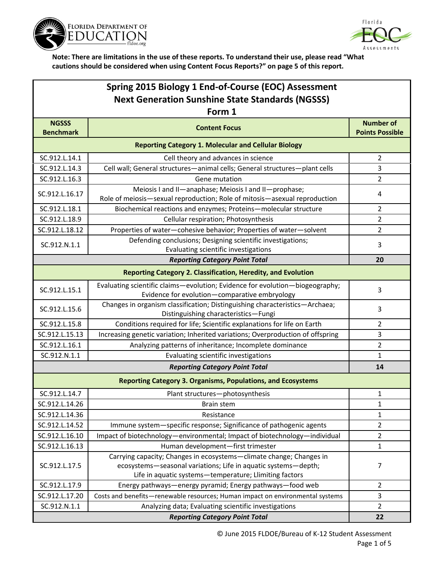



| Spring 2015 Biology 1 End-of-Course (EOC) Assessment                |                                                                                                                                                                                                 |                                            |  |  |
|---------------------------------------------------------------------|-------------------------------------------------------------------------------------------------------------------------------------------------------------------------------------------------|--------------------------------------------|--|--|
| <b>Next Generation Sunshine State Standards (NGSSS)</b>             |                                                                                                                                                                                                 |                                            |  |  |
| Form 1                                                              |                                                                                                                                                                                                 |                                            |  |  |
| <b>NGSSS</b><br><b>Benchmark</b>                                    | <b>Content Focus</b>                                                                                                                                                                            | <b>Number of</b><br><b>Points Possible</b> |  |  |
| <b>Reporting Category 1. Molecular and Cellular Biology</b>         |                                                                                                                                                                                                 |                                            |  |  |
| SC.912.L.14.1                                                       | Cell theory and advances in science                                                                                                                                                             | $\overline{2}$                             |  |  |
| SC.912.L.14.3                                                       | Cell wall; General structures-animal cells; General structures-plant cells                                                                                                                      | 3                                          |  |  |
| SC.912.L.16.3                                                       | Gene mutation                                                                                                                                                                                   | 2                                          |  |  |
| SC.912.L.16.17                                                      | Meiosis I and II-anaphase; Meiosis I and II-prophase;<br>Role of meiosis-sexual reproduction; Role of mitosis-asexual reproduction                                                              | 4                                          |  |  |
| SC.912.L.18.1                                                       | Biochemical reactions and enzymes; Proteins-molecular structure                                                                                                                                 | 2                                          |  |  |
| SC.912.L.18.9                                                       | Cellular respiration; Photosynthesis                                                                                                                                                            | 2                                          |  |  |
| SC.912.L.18.12                                                      | Properties of water-cohesive behavior; Properties of water-solvent                                                                                                                              | 2                                          |  |  |
| SC.912.N.1.1                                                        | Defending conclusions; Designing scientific investigations;<br>Evaluating scientific investigations                                                                                             | 3                                          |  |  |
|                                                                     | <b>Reporting Category Point Total</b>                                                                                                                                                           | 20                                         |  |  |
|                                                                     | <b>Reporting Category 2. Classification, Heredity, and Evolution</b>                                                                                                                            |                                            |  |  |
| SC.912.L.15.1                                                       | Evaluating scientific claims-evolution; Evidence for evolution-biogeography;<br>Evidence for evolution-comparative embryology                                                                   | 3                                          |  |  |
| SC.912.L.15.6                                                       | Changes in organism classification; Distinguishing characteristics-Archaea;<br>Distinguishing characteristics-Fungi                                                                             | 3                                          |  |  |
| SC.912.L.15.8                                                       | Conditions required for life; Scientific explanations for life on Earth                                                                                                                         | $\overline{2}$                             |  |  |
| SC.912.L.15.13                                                      | Increasing genetic variation; Inherited variations; Overproduction of offspring                                                                                                                 | 3                                          |  |  |
| SC.912.L.16.1                                                       | Analyzing patterns of inheritance; Incomplete dominance                                                                                                                                         | 2                                          |  |  |
| SC.912.N.1.1                                                        | Evaluating scientific investigations                                                                                                                                                            | 1                                          |  |  |
|                                                                     | <b>Reporting Category Point Total</b>                                                                                                                                                           | 14                                         |  |  |
| <b>Reporting Category 3. Organisms, Populations, and Ecosystems</b> |                                                                                                                                                                                                 |                                            |  |  |
| SC.912.L.14.7                                                       | Plant structures-photosynthesis                                                                                                                                                                 | 1                                          |  |  |
| SC.912.L.14.26                                                      | Brain stem                                                                                                                                                                                      | $\mathbf 1$                                |  |  |
| SC.912.L.14.36                                                      | Resistance                                                                                                                                                                                      | $\mathbf{1}$                               |  |  |
| SC.912.L.14.52                                                      | Immune system-specific response; Significance of pathogenic agents                                                                                                                              | $\overline{2}$                             |  |  |
| SC.912.L.16.10                                                      | Impact of biotechnology-environmental; Impact of biotechnology-individual                                                                                                                       | $\overline{2}$                             |  |  |
| SC.912.L.16.13                                                      | Human development-first trimester                                                                                                                                                               | 1                                          |  |  |
| SC.912.L.17.5                                                       | Carrying capacity; Changes in ecosystems-climate change; Changes in<br>ecosystems-seasonal variations; Life in aquatic systems-depth;<br>Life in aquatic systems-temperature; Llimiting factors | 7                                          |  |  |
| SC.912.L.17.9                                                       | Energy pathways-energy pyramid; Energy pathways-food web                                                                                                                                        | $\overline{2}$                             |  |  |
| SC.912.L.17.20                                                      | Costs and benefits-renewable resources; Human impact on environmental systems                                                                                                                   | 3                                          |  |  |
| SC.912.N.1.1                                                        | Analyzing data; Evaluating scientific investigations                                                                                                                                            | $\overline{2}$                             |  |  |
|                                                                     | <b>Reporting Category Point Total</b>                                                                                                                                                           | 22                                         |  |  |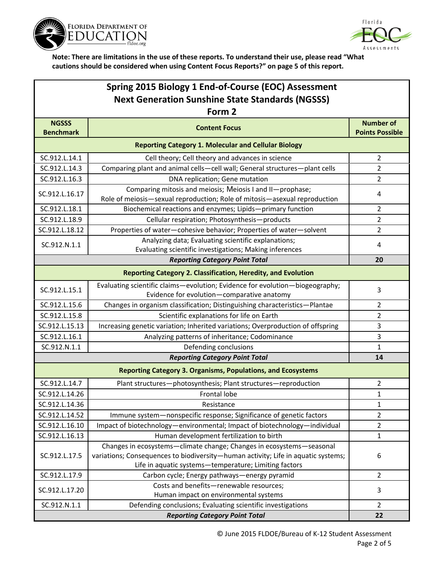



| Spring 2015 Biology 1 End-of-Course (EOC) Assessment                |                                                                                                                                                                                                                    |                                            |  |  |
|---------------------------------------------------------------------|--------------------------------------------------------------------------------------------------------------------------------------------------------------------------------------------------------------------|--------------------------------------------|--|--|
| <b>Next Generation Sunshine State Standards (NGSSS)</b>             |                                                                                                                                                                                                                    |                                            |  |  |
| Form 2                                                              |                                                                                                                                                                                                                    |                                            |  |  |
| <b>NGSSS</b><br><b>Benchmark</b>                                    | <b>Content Focus</b>                                                                                                                                                                                               | <b>Number of</b><br><b>Points Possible</b> |  |  |
| <b>Reporting Category 1. Molecular and Cellular Biology</b>         |                                                                                                                                                                                                                    |                                            |  |  |
| SC.912.L.14.1                                                       | Cell theory; Cell theory and advances in science                                                                                                                                                                   | $\overline{2}$                             |  |  |
| SC.912.L.14.3                                                       | Comparing plant and animal cells-cell wall; General structures-plant cells                                                                                                                                         | $\overline{2}$                             |  |  |
| SC.912.L.16.3                                                       | DNA replication; Gene mutation                                                                                                                                                                                     | 2                                          |  |  |
| SC.912.L.16.17                                                      | Comparing mitosis and meiosis; Meiosis I and II-prophase;<br>Role of meiosis-sexual reproduction; Role of mitosis-asexual reproduction                                                                             | 4                                          |  |  |
| SC.912.L.18.1                                                       | Biochemical reactions and enzymes; Lipids-primary function                                                                                                                                                         | $\overline{2}$                             |  |  |
| SC.912.L.18.9                                                       | Cellular respiration; Photosynthesis-products                                                                                                                                                                      | $\overline{2}$                             |  |  |
| SC.912.L.18.12                                                      | Properties of water-cohesive behavior; Properties of water-solvent                                                                                                                                                 | $\overline{2}$                             |  |  |
| SC.912.N.1.1                                                        | Analyzing data; Evaluating scientific explanations;<br>Evaluating scientific investigations; Making inferences                                                                                                     | 4                                          |  |  |
|                                                                     | <b>Reporting Category Point Total</b>                                                                                                                                                                              | 20                                         |  |  |
|                                                                     | <b>Reporting Category 2. Classification, Heredity, and Evolution</b>                                                                                                                                               |                                            |  |  |
| SC.912.L.15.1                                                       | Evaluating scientific claims-evolution; Evidence for evolution-biogeography;<br>Evidence for evolution-comparative anatomy                                                                                         | 3                                          |  |  |
| SC.912.L.15.6                                                       | Changes in organism classification; Distinguishing characteristics-Plantae                                                                                                                                         | $\overline{2}$                             |  |  |
| SC.912.L.15.8                                                       | Scientific explanations for life on Earth                                                                                                                                                                          | $\overline{2}$                             |  |  |
| SC.912.L.15.13                                                      | Increasing genetic variation; Inherited variations; Overproduction of offspring                                                                                                                                    | 3                                          |  |  |
| SC.912.L.16.1                                                       | Analyzing patterns of inheritance; Codominance                                                                                                                                                                     | 3                                          |  |  |
| SC.912.N.1.1                                                        | Defending conclusions                                                                                                                                                                                              | $\mathbf{1}$                               |  |  |
|                                                                     | <b>Reporting Category Point Total</b>                                                                                                                                                                              | 14                                         |  |  |
| <b>Reporting Category 3. Organisms, Populations, and Ecosystems</b> |                                                                                                                                                                                                                    |                                            |  |  |
| SC.912.L.14.7                                                       | Plant structures-photosynthesis; Plant structures-reproduction                                                                                                                                                     | $\overline{2}$                             |  |  |
| SC.912.L.14.26                                                      | Frontal lobe                                                                                                                                                                                                       | $\mathbf{1}$                               |  |  |
| SC.912.L.14.36                                                      | Resistance                                                                                                                                                                                                         | $\mathbf{1}$                               |  |  |
| SC.912.L.14.52                                                      | Immune system-nonspecific response; Significance of genetic factors                                                                                                                                                | $\overline{2}$                             |  |  |
| SC.912.L.16.10                                                      | Impact of biotechnology-environmental; Impact of biotechnology-individual                                                                                                                                          | $\overline{2}$                             |  |  |
| SC.912.L.16.13                                                      | Human development fertilization to birth                                                                                                                                                                           | $\mathbf{1}$                               |  |  |
| SC.912.L.17.5                                                       | Changes in ecosystems-climate change; Changes in ecosystems-seasonal<br>variations; Consequences to biodiversity-human activity; Life in aquatic systems;<br>Life in aquatic systems-temperature; Limiting factors | 6                                          |  |  |
| SC.912.L.17.9                                                       | Carbon cycle; Energy pathways-energy pyramid                                                                                                                                                                       | $\overline{2}$                             |  |  |
| SC.912.L.17.20                                                      | Costs and benefits-renewable resources;<br>Human impact on environmental systems                                                                                                                                   | 3                                          |  |  |
| SC.912.N.1.1                                                        | Defending conclusions; Evaluating scientific investigations                                                                                                                                                        | $\overline{2}$                             |  |  |
|                                                                     | 22                                                                                                                                                                                                                 |                                            |  |  |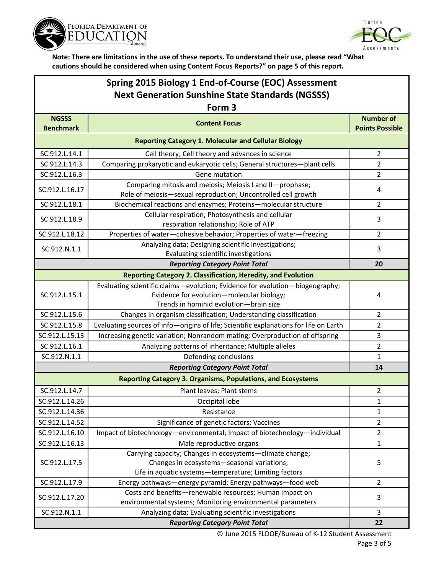



## **Spring 2015 Biology 1 End-of-Course (EOC) Assessment Next Generation Sunshine State Standards (NGSSS)**

| Form 3                                                      |                                                                                                                                                                     |                                            |  |  |
|-------------------------------------------------------------|---------------------------------------------------------------------------------------------------------------------------------------------------------------------|--------------------------------------------|--|--|
| <b>NGSSS</b><br><b>Benchmark</b>                            | <b>Content Focus</b>                                                                                                                                                | <b>Number of</b><br><b>Points Possible</b> |  |  |
| <b>Reporting Category 1. Molecular and Cellular Biology</b> |                                                                                                                                                                     |                                            |  |  |
| SC.912.L.14.1                                               | Cell theory; Cell theory and advances in science                                                                                                                    | $\overline{2}$                             |  |  |
| SC.912.L.14.3                                               | Comparing prokaryotic and eukaryotic cells; General structures-plant cells                                                                                          | $\overline{2}$                             |  |  |
| SC.912.L.16.3                                               | Gene mutation                                                                                                                                                       | $\overline{2}$                             |  |  |
| SC.912.L.16.17                                              | Comparing mitosis and meiosis; Meiosis I and II-prophase;<br>Role of meiosis-sexual reproduction; Uncontrolled cell growth                                          | 4                                          |  |  |
| SC.912.L.18.1                                               | Biochemical reactions and enzymes; Proteins-molecular structure                                                                                                     | $\overline{2}$                             |  |  |
| SC.912.L.18.9                                               | Cellular respiration; Photosynthesis and cellular<br>respiration relationship; Role of ATP                                                                          | 3                                          |  |  |
| SC.912.L.18.12                                              | Properties of water-cohesive behavior; Properties of water-freezing                                                                                                 | $\overline{2}$                             |  |  |
| SC.912.N.1.1                                                | Analyzing data; Designing scientific investigations;<br>Evaluating scientific investigations                                                                        | 3                                          |  |  |
|                                                             | <b>Reporting Category Point Total</b>                                                                                                                               | 20                                         |  |  |
|                                                             | Reporting Category 2. Classification, Heredity, and Evolution                                                                                                       |                                            |  |  |
| SC.912.L.15.1                                               | Evaluating scientific claims-evolution; Evidence for evolution-biogeography;<br>Evidence for evolution-molecular biology;<br>Trends in hominid evolution-brain size | 4                                          |  |  |
| SC.912.L.15.6                                               | Changes in organism classification; Understanding classification                                                                                                    | $\overline{2}$                             |  |  |
| SC.912.L.15.8                                               | Evaluating sources of info-origins of life; Scientific explanations for life on Earth                                                                               | $\overline{2}$                             |  |  |
| SC.912.L.15.13                                              | Increasing genetic variation; Nonrandom mating; Overproduction of offspring                                                                                         | 3                                          |  |  |
| SC.912.L.16.1                                               | Analyzing patterns of inheritance; Multiple alleles                                                                                                                 | $\overline{2}$                             |  |  |
| SC.912.N.1.1                                                | Defending conclusions                                                                                                                                               | $\mathbf{1}$                               |  |  |
|                                                             | <b>Reporting Category Point Total</b>                                                                                                                               | 14                                         |  |  |
|                                                             | <b>Reporting Category 3. Organisms, Populations, and Ecosystems</b>                                                                                                 |                                            |  |  |
| SC.912.L.14.7                                               | Plant leaves; Plant stems                                                                                                                                           | $\overline{2}$                             |  |  |
| SC.912.L.14.26                                              | Occipital lobe                                                                                                                                                      | 1                                          |  |  |
| SC.912.L.14.36                                              | Resistance                                                                                                                                                          | 1                                          |  |  |
| SC.912.L.14.52                                              | Significance of genetic factors; Vaccines                                                                                                                           | 2                                          |  |  |
| SC.912.L.16.10                                              | Impact of biotechnology-environmental; Impact of biotechnology-individual                                                                                           | $\overline{2}$                             |  |  |
| SC.912.L.16.13                                              | Male reproductive organs                                                                                                                                            | 1                                          |  |  |
| SC.912.L.17.5                                               | Carrying capacity; Changes in ecosystems-climate change;<br>Changes in ecosystems-seasonal variations;<br>Life in aquatic systems-temperature; Limiting factors     | 5                                          |  |  |
| SC.912.L.17.9                                               | Energy pathways-energy pyramid; Energy pathways-food web                                                                                                            | $\overline{2}$                             |  |  |
| SC.912.L.17.20                                              | Costs and benefits-renewable resources; Human impact on<br>environmental systems; Monitoring environmental parameters                                               | 3                                          |  |  |
| SC.912.N.1.1                                                | Analyzing data; Evaluating scientific investigations                                                                                                                | 3                                          |  |  |
|                                                             | 22                                                                                                                                                                  |                                            |  |  |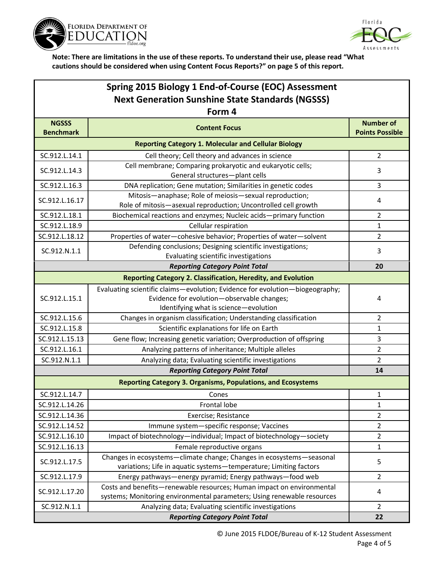



|                                                             | Spring 2015 Biology 1 End-of-Course (EOC) Assessment                                                                                                                |                                            |  |  |
|-------------------------------------------------------------|---------------------------------------------------------------------------------------------------------------------------------------------------------------------|--------------------------------------------|--|--|
| <b>Next Generation Sunshine State Standards (NGSSS)</b>     |                                                                                                                                                                     |                                            |  |  |
| Form 4                                                      |                                                                                                                                                                     |                                            |  |  |
| <b>NGSSS</b><br><b>Benchmark</b>                            | <b>Content Focus</b>                                                                                                                                                | <b>Number of</b><br><b>Points Possible</b> |  |  |
| <b>Reporting Category 1. Molecular and Cellular Biology</b> |                                                                                                                                                                     |                                            |  |  |
| SC.912.L.14.1                                               | Cell theory; Cell theory and advances in science                                                                                                                    | $\overline{2}$                             |  |  |
| SC.912.L.14.3                                               | Cell membrane; Comparing prokaryotic and eukaryotic cells;<br>General structures-plant cells                                                                        | 3                                          |  |  |
| SC.912.L.16.3                                               | DNA replication; Gene mutation; Similarities in genetic codes                                                                                                       | 3                                          |  |  |
| SC.912.L.16.17                                              | Mitosis-anaphase; Role of meiosis-sexual reproduction;<br>Role of mitosis-asexual reproduction; Uncontrolled cell growth                                            | 4                                          |  |  |
| SC.912.L.18.1                                               | Biochemical reactions and enzymes; Nucleic acids-primary function                                                                                                   | 2                                          |  |  |
| SC.912.L.18.9                                               | Cellular respiration                                                                                                                                                | 1                                          |  |  |
| SC.912.L.18.12                                              | Properties of water-cohesive behavior; Properties of water-solvent                                                                                                  | 2                                          |  |  |
| SC.912.N.1.1                                                | Defending conclusions; Designing scientific investigations;<br>Evaluating scientific investigations                                                                 | 3                                          |  |  |
|                                                             | <b>Reporting Category Point Total</b>                                                                                                                               | 20                                         |  |  |
|                                                             | <b>Reporting Category 2. Classification, Heredity, and Evolution</b>                                                                                                |                                            |  |  |
| SC.912.L.15.1                                               | Evaluating scientific claims-evolution; Evidence for evolution-biogeography;<br>Evidence for evolution-observable changes;<br>Identifying what is science-evolution | 4                                          |  |  |
| SC.912.L.15.6                                               | Changes in organism classification; Understanding classification                                                                                                    | $\overline{2}$                             |  |  |
| SC.912.L.15.8                                               | Scientific explanations for life on Earth                                                                                                                           | $\mathbf{1}$                               |  |  |
| SC.912.L.15.13                                              | Gene flow; Increasing genetic variation; Overproduction of offspring                                                                                                | 3                                          |  |  |
| SC.912.L.16.1                                               | Analyzing patterns of inheritance; Multiple alleles                                                                                                                 | 2                                          |  |  |
| SC.912.N.1.1                                                | Analyzing data; Evaluating scientific investigations                                                                                                                | $\overline{2}$                             |  |  |
| <b>Reporting Category Point Total</b><br>14                 |                                                                                                                                                                     |                                            |  |  |
|                                                             | <b>Reporting Category 3. Organisms, Populations, and Ecosystems</b>                                                                                                 |                                            |  |  |
| SC.912.L.14.7                                               | Cones                                                                                                                                                               | 1                                          |  |  |
| SC.912.L.14.26                                              | Frontal lobe                                                                                                                                                        | $\mathbf 1$                                |  |  |
| SC.912.L.14.36                                              | Exercise; Resistance                                                                                                                                                | $\overline{2}$                             |  |  |
| SC.912.L.14.52                                              | Immune system-specific response; Vaccines                                                                                                                           | $\overline{2}$                             |  |  |
| SC.912.L.16.10                                              | Impact of biotechnology-individual; Impact of biotechnology-society                                                                                                 | $\overline{2}$                             |  |  |
| SC.912.L.16.13                                              | Female reproductive organs                                                                                                                                          | 1                                          |  |  |
| SC.912.L.17.5                                               | Changes in ecosystems-climate change; Changes in ecosystems-seasonal<br>variations; Life in aquatic systems-temperature; Limiting factors                           | 5                                          |  |  |
| SC.912.L.17.9                                               | Energy pathways-energy pyramid; Energy pathways-food web                                                                                                            | 2                                          |  |  |
| SC.912.L.17.20                                              | Costs and benefits-renewable resources; Human impact on environmental<br>systems; Monitoring environmental parameters; Using renewable resources                    | 4                                          |  |  |
| SC.912.N.1.1                                                | Analyzing data; Evaluating scientific investigations                                                                                                                | $\overline{2}$                             |  |  |
|                                                             | <b>Reporting Category Point Total</b>                                                                                                                               | 22                                         |  |  |